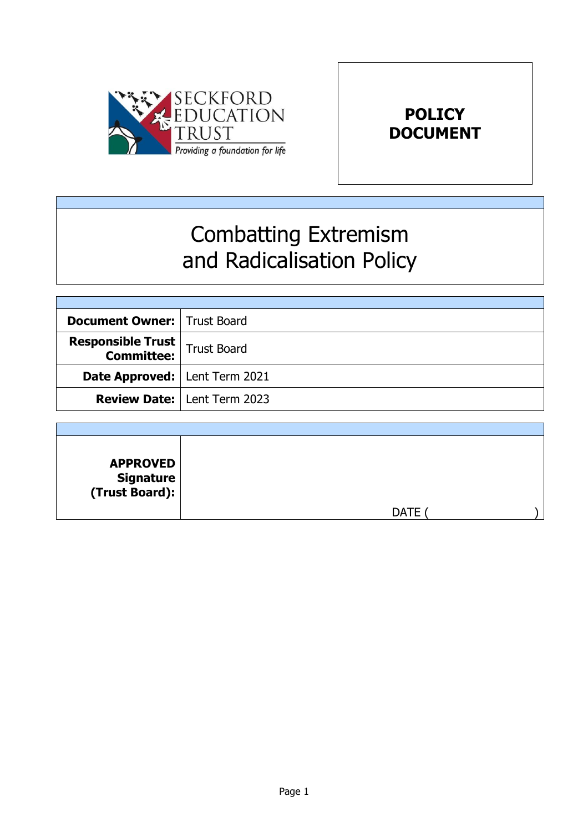



# Combatting Extremism and Radicalisation Policy

| <b>Document Owner:   Trust Board</b>                      |                                      |
|-----------------------------------------------------------|--------------------------------------|
| <b>Responsible Trust</b><br><b>Committee:</b> Trust Board |                                      |
| <b>Date Approved:</b>   Lent Term 2021                    |                                      |
|                                                           | <b>Review Date:   Lent Term 2023</b> |

| <b>APPROVED</b><br>  Signature<br>  (Trust Board): |      |  |
|----------------------------------------------------|------|--|
|                                                    | DATF |  |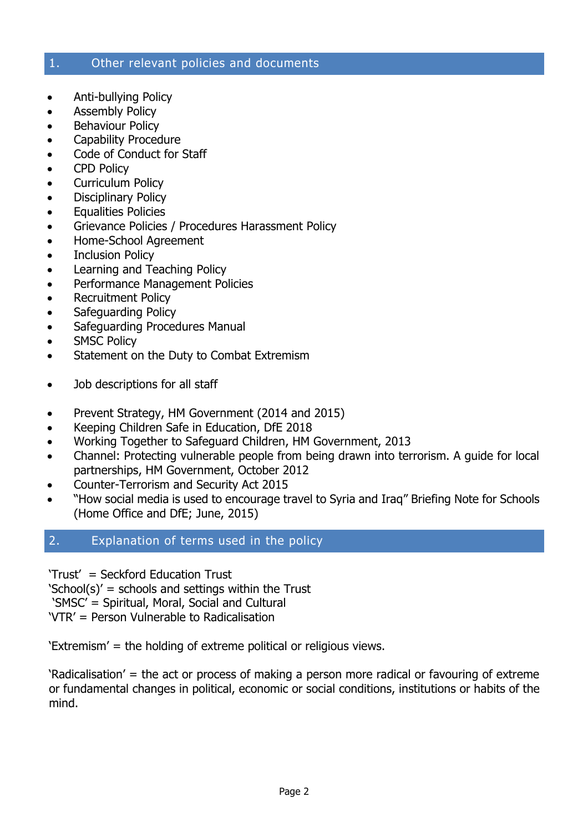#### 1. Other relevant policies and documents

- Anti-bullying Policy
- Assembly Policy
- Behaviour Policy
- Capability Procedure
- Code of Conduct for Staff
- CPD Policy
- Curriculum Policy
- Disciplinary Policy
- Equalities Policies
- **•** Grievance Policies / Procedures Harassment Policy
- Home-School Agreement
- Inclusion Policy
- Learning and Teaching Policy
- Performance Management Policies
- Recruitment Policy
- Safeguarding Policy
- Safeguarding Procedures Manual
- SMSC Policy
- Statement on the Duty to Combat Extremism
- Job descriptions for all staff
- Prevent Strategy, HM Government (2014 and 2015)
- Keeping Children Safe in Education, DfE 2018
- Working Together to Safeguard Children, HM Government, 2013
- Channel: Protecting vulnerable people from being drawn into terrorism. A guide for local partnerships, HM Government, October 2012
- Counter-Terrorism and Security Act 2015
- "How social media is used to encourage travel to Syria and Iraq" Briefing Note for Schools (Home Office and DfE; June, 2015)

#### 2. Explanation of terms used in the policy

'Trust' = Seckford Education Trust

'School(s)' = schools and settings within the Trust

'SMSC' = Spiritual, Moral, Social and Cultural

'VTR' = Person Vulnerable to Radicalisation

'Extremism' = the holding of extreme political or religious views.

'Radicalisation' = the act or process of making a person more radical or favouring of extreme or fundamental changes in political, economic or social conditions, institutions or habits of the mind.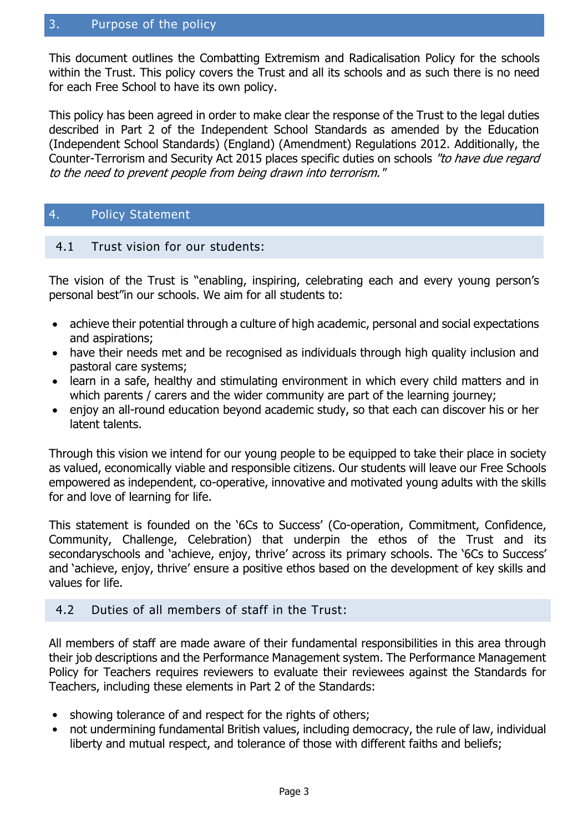#### 3. Purpose of the policy

This document outlines the Combatting Extremism and Radicalisation Policy for the schools within the Trust. This policy covers the Trust and all its schools and as such there is no need for each Free School to have its own policy.

This policy has been agreed in order to make clear the response of the Trust to the legal duties described in Part 2 of the Independent School Standards as amended by the Education (Independent School Standards) (England) (Amendment) Regulations 2012. Additionally, the Counter-Terrorism and Security Act 2015 places specific duties on schools "to have due regard to the need to prevent people from being drawn into terrorism."

#### 4. Policy Statement

#### 4.1 Trust vision for our students:

The vision of the Trust is "enabling, inspiring, celebrating each and every young person's personal best"in our schools. We aim for all students to:

- achieve their potential through a culture of high academic, personal and social expectations and aspirations;
- have their needs met and be recognised as individuals through high quality inclusion and pastoral care systems;
- learn in a safe, healthy and stimulating environment in which every child matters and in which parents / carers and the wider community are part of the learning journey;
- enjoy an all-round education beyond academic study, so that each can discover his or her latent talents.

Through this vision we intend for our young people to be equipped to take their place in society as valued, economically viable and responsible citizens. Our students will leave our Free Schools empowered as independent, co-operative, innovative and motivated young adults with the skills for and love of learning for life.

This statement is founded on the '6Cs to Success' (Co-operation, Commitment, Confidence, Community, Challenge, Celebration) that underpin the ethos of the Trust and its secondaryschools and 'achieve, enjoy, thrive' across its primary schools. The '6Cs to Success' and 'achieve, enjoy, thrive' ensure a positive ethos based on the development of key skills and values for life.

#### 4.2 Duties of all members of staff in the Trust:

All members of staff are made aware of their fundamental responsibilities in this area through their job descriptions and the Performance Management system. The Performance Management Policy for Teachers requires reviewers to evaluate their reviewees against the Standards for Teachers, including these elements in Part 2 of the Standards:

- showing tolerance of and respect for the rights of others;
- not undermining fundamental British values, including democracy, the rule of law, individual liberty and mutual respect, and tolerance of those with different faiths and beliefs;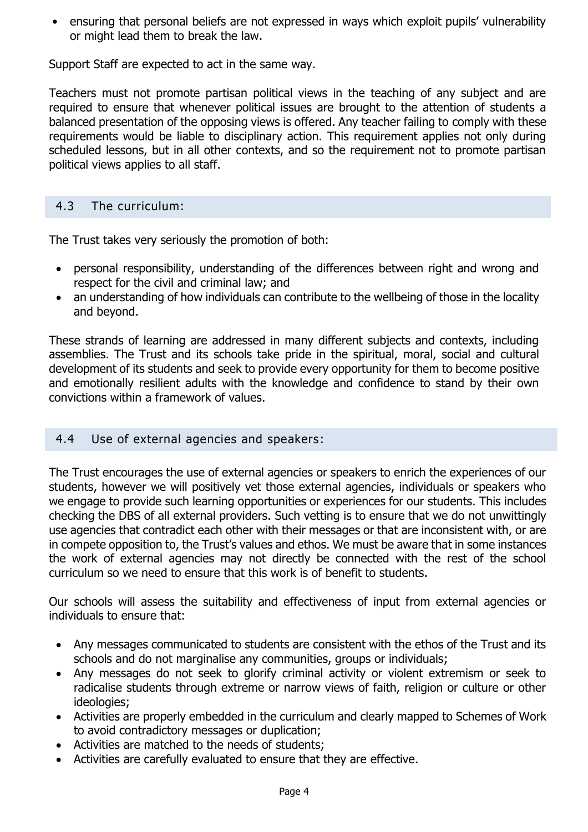• ensuring that personal beliefs are not expressed in ways which exploit pupils' vulnerability or might lead them to break the law.

Support Staff are expected to act in the same way.

Teachers must not promote partisan political views in the teaching of any subject and are required to ensure that whenever political issues are brought to the attention of students a balanced presentation of the opposing views is offered. Any teacher failing to comply with these requirements would be liable to disciplinary action. This requirement applies not only during scheduled lessons, but in all other contexts, and so the requirement not to promote partisan political views applies to all staff.

#### 4.3 The curriculum:

The Trust takes very seriously the promotion of both:

- personal responsibility, understanding of the differences between right and wrong and respect for the civil and criminal law; and
- an understanding of how individuals can contribute to the wellbeing of those in the locality and beyond.

These strands of learning are addressed in many different subjects and contexts, including assemblies. The Trust and its schools take pride in the spiritual, moral, social and cultural development of its students and seek to provide every opportunity for them to become positive and emotionally resilient adults with the knowledge and confidence to stand by their own convictions within a framework of values.

#### 4.4 Use of external agencies and speakers:

The Trust encourages the use of external agencies or speakers to enrich the experiences of our students, however we will positively vet those external agencies, individuals or speakers who we engage to provide such learning opportunities or experiences for our students. This includes checking the DBS of all external providers. Such vetting is to ensure that we do not unwittingly use agencies that contradict each other with their messages or that are inconsistent with, or are in compete opposition to, the Trust's values and ethos. We must be aware that in some instances the work of external agencies may not directly be connected with the rest of the school curriculum so we need to ensure that this work is of benefit to students.

Our schools will assess the suitability and effectiveness of input from external agencies or individuals to ensure that:

- Any messages communicated to students are consistent with the ethos of the Trust and its schools and do not marginalise any communities, groups or individuals;
- Any messages do not seek to glorify criminal activity or violent extremism or seek to radicalise students through extreme or narrow views of faith, religion or culture or other ideologies;
- Activities are properly embedded in the curriculum and clearly mapped to Schemes of Work to avoid contradictory messages or duplication;
- Activities are matched to the needs of students;
- Activities are carefully evaluated to ensure that they are effective.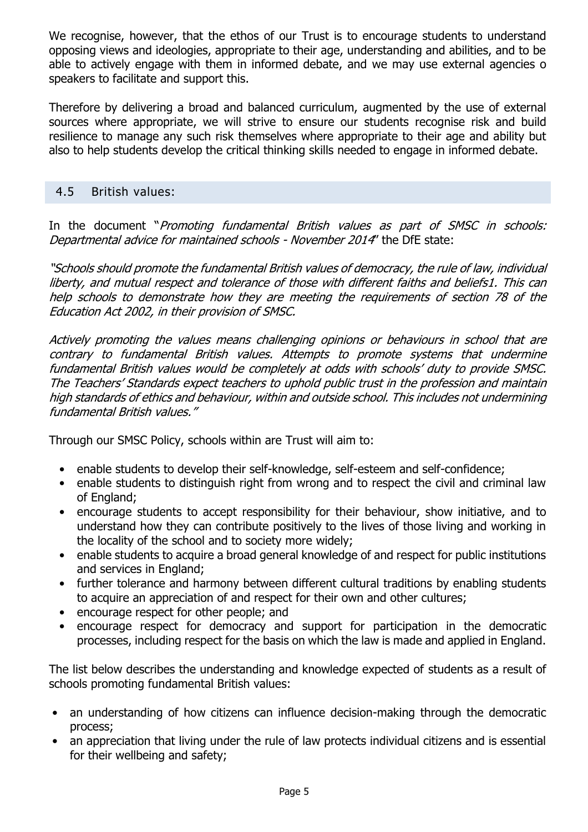We recognise, however, that the ethos of our Trust is to encourage students to understand opposing views and ideologies, appropriate to their age, understanding and abilities, and to be able to actively engage with them in informed debate, and we may use external agencies o speakers to facilitate and support this.

Therefore by delivering a broad and balanced curriculum, augmented by the use of external sources where appropriate, we will strive to ensure our students recognise risk and build resilience to manage any such risk themselves where appropriate to their age and ability but also to help students develop the critical thinking skills needed to engage in informed debate.

#### 4.5 British values:

In the document "Promoting fundamental British values as part of SMSC in schools: Departmental advice for maintained schools - November 2014" the DfE state:

"Schools should promote the fundamental British values of democracy, the rule of law, individual liberty, and mutual respect and tolerance of those with different faiths and beliefs1. This can help schools to demonstrate how they are meeting the requirements of section 78 of the Education Act 2002, in their provision of SMSC.

Actively promoting the values means challenging opinions or behaviours in school that are contrary to fundamental British values. Attempts to promote systems that undermine fundamental British values would be completely at odds with schools' duty to provide SMSC. The Teachers' Standards expect teachers to uphold public trust in the profession and maintain high standards of ethics and behaviour, within and outside school. This includes not undermining fundamental British values."

Through our SMSC Policy, schools within are Trust will aim to:

- enable students to develop their self-knowledge, self-esteem and self-confidence;
- enable students to distinguish right from wrong and to respect the civil and criminal law of England;
- encourage students to accept responsibility for their behaviour, show initiative, and to understand how they can contribute positively to the lives of those living and working in the locality of the school and to society more widely;
- enable students to acquire a broad general knowledge of and respect for public institutions and services in England;
- further tolerance and harmony between different cultural traditions by enabling students to acquire an appreciation of and respect for their own and other cultures;
- encourage respect for other people; and
- encourage respect for democracy and support for participation in the democratic processes, including respect for the basis on which the law is made and applied in England.

The list below describes the understanding and knowledge expected of students as a result of schools promoting fundamental British values:

- an understanding of how citizens can influence decision-making through the democratic process;
- an appreciation that living under the rule of law protects individual citizens and is essential for their wellbeing and safety;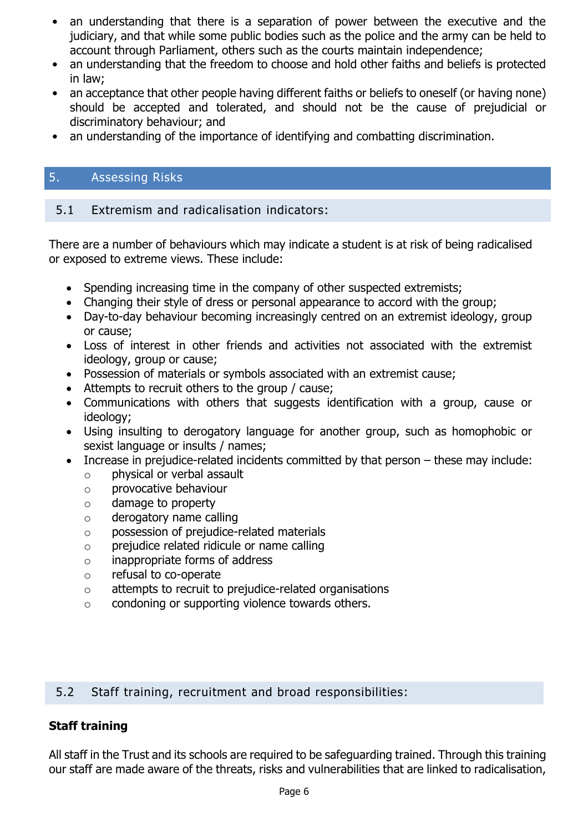- an understanding that there is a separation of power between the executive and the judiciary, and that while some public bodies such as the police and the army can be held to account through Parliament, others such as the courts maintain independence;
- an understanding that the freedom to choose and hold other faiths and beliefs is protected in law;
- an acceptance that other people having different faiths or beliefs to oneself (or having none) should be accepted and tolerated, and should not be the cause of prejudicial or discriminatory behaviour; and
- an understanding of the importance of identifying and combatting discrimination.

#### 5. Assessing Risks

#### 5.1 Extremism and radicalisation indicators:

There are a number of behaviours which may indicate a student is at risk of being radicalised or exposed to extreme views. These include:

- Spending increasing time in the company of other suspected extremists;
- Changing their style of dress or personal appearance to accord with the group;
- Day-to-day behaviour becoming increasingly centred on an extremist ideology, group or cause;
- Loss of interest in other friends and activities not associated with the extremist ideology, group or cause;
- Possession of materials or symbols associated with an extremist cause;
- Attempts to recruit others to the group / cause;
- Communications with others that suggests identification with a group, cause or ideology;
- Using insulting to derogatory language for another group, such as homophobic or sexist language or insults / names;
- Increase in prejudice-related incidents committed by that person these may include:
	- o physical or verbal assault
	- o provocative behaviour
	- o damage to property
	- o derogatory name calling
	- o possession of prejudice-related materials
	- o prejudice related ridicule or name calling
	- o inappropriate forms of address
	- o refusal to co-operate
	- o attempts to recruit to prejudice-related organisations
	- $\circ$  condoning or supporting violence towards others.

#### 5.2 Staff training, recruitment and broad responsibilities:

#### **Staff training**

All staff in the Trust and its schools are required to be safeguarding trained. Through this training our staff are made aware of the threats, risks and vulnerabilities that are linked to radicalisation,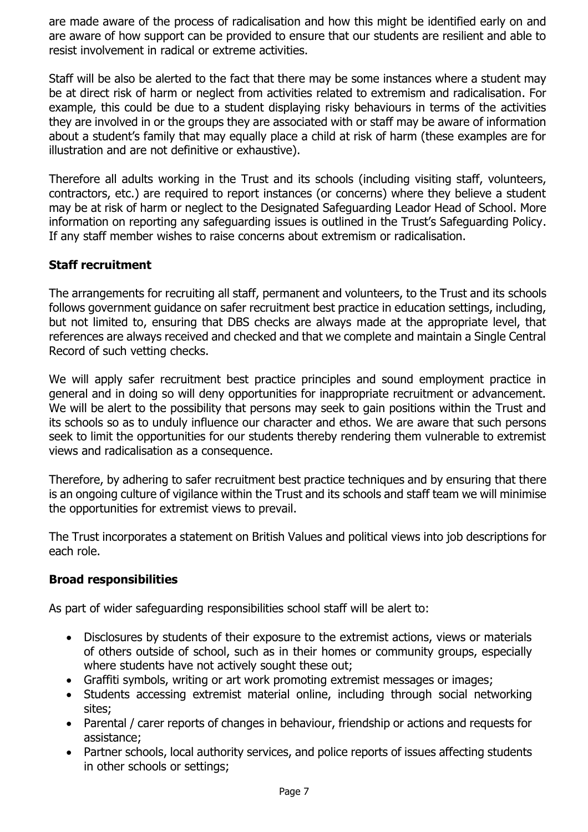are made aware of the process of radicalisation and how this might be identified early on and are aware of how support can be provided to ensure that our students are resilient and able to resist involvement in radical or extreme activities.

Staff will be also be alerted to the fact that there may be some instances where a student may be at direct risk of harm or neglect from activities related to extremism and radicalisation. For example, this could be due to a student displaying risky behaviours in terms of the activities they are involved in or the groups they are associated with or staff may be aware of information about a student's family that may equally place a child at risk of harm (these examples are for illustration and are not definitive or exhaustive).

Therefore all adults working in the Trust and its schools (including visiting staff, volunteers, contractors, etc.) are required to report instances (or concerns) where they believe a student may be at risk of harm or neglect to the Designated Safeguarding Leador Head of School. More information on reporting any safeguarding issues is outlined in the Trust's Safeguarding Policy. If any staff member wishes to raise concerns about extremism or radicalisation.

#### **Staff recruitment**

The arrangements for recruiting all staff, permanent and volunteers, to the Trust and its schools follows government guidance on safer recruitment best practice in education settings, including, but not limited to, ensuring that DBS checks are always made at the appropriate level, that references are always received and checked and that we complete and maintain a Single Central Record of such vetting checks.

We will apply safer recruitment best practice principles and sound employment practice in general and in doing so will deny opportunities for inappropriate recruitment or advancement. We will be alert to the possibility that persons may seek to gain positions within the Trust and its schools so as to unduly influence our character and ethos. We are aware that such persons seek to limit the opportunities for our students thereby rendering them vulnerable to extremist views and radicalisation as a consequence.

Therefore, by adhering to safer recruitment best practice techniques and by ensuring that there is an ongoing culture of vigilance within the Trust and its schools and staff team we will minimise the opportunities for extremist views to prevail.

The Trust incorporates a statement on British Values and political views into job descriptions for each role.

#### **Broad responsibilities**

As part of wider safeguarding responsibilities school staff will be alert to:

- Disclosures by students of their exposure to the extremist actions, views or materials of others outside of school, such as in their homes or community groups, especially where students have not actively sought these out;
- Graffiti symbols, writing or art work promoting extremist messages or images;
- Students accessing extremist material online, including through social networking sites;
- Parental / carer reports of changes in behaviour, friendship or actions and requests for assistance;
- Partner schools, local authority services, and police reports of issues affecting students in other schools or settings;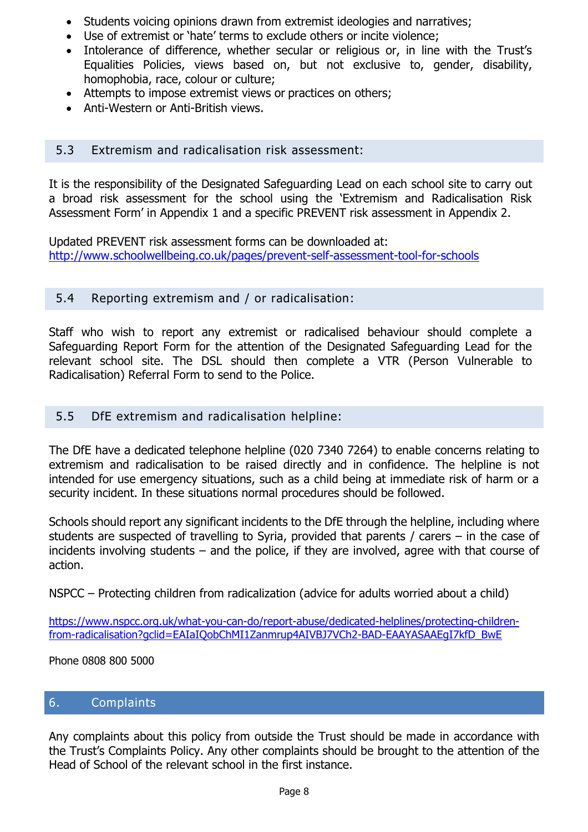- Students voicing opinions drawn from extremist ideologies and narratives;
- Use of extremist or 'hate' terms to exclude others or incite violence;
- Intolerance of difference, whether secular or religious or, in line with the Trust's Equalities Policies, views based on, but not exclusive to, gender, disability, homophobia, race, colour or culture;
- Attempts to impose extremist views or practices on others;
- Anti-Western or Anti-British views.

#### 5.3 Extremism and radicalisation risk assessment:

It is the responsibility of the Designated Safeguarding Lead on each school site to carry out a broad risk assessment for the school using the 'Extremism and Radicalisation Risk Assessment Form' in Appendix 1 and a specific PREVENT risk assessment in Appendix 2.

Updated PREVENT risk assessment forms can be downloaded at: <http://www.schoolwellbeing.co.uk/pages/prevent-self-assessment-tool-for-schools>

#### 5.4 Reporting extremism and / or radicalisation:

Staff who wish to report any extremist or radicalised behaviour should complete a Safeguarding Report Form for the attention of the Designated Safeguarding Lead for the relevant school site. The DSL should then complete a VTR (Person Vulnerable to Radicalisation) Referral Form to send to the Police.

#### 5.5 DfE extremism and radicalisation helpline:

The DfE have a dedicated telephone helpline (020 7340 7264) to enable concerns relating to extremism and radicalisation to be raised directly and in confidence. The helpline is not intended for use emergency situations, such as a child being at immediate risk of harm or a security incident. In these situations normal procedures should be followed.

Schools should report any significant incidents to the DfE through the helpline, including where students are suspected of travelling to Syria, provided that parents / carers – in the case of incidents involving students – and the police, if they are involved, agree with that course of action.

NSPCC – Protecting children from radicalization (advice for adults worried about a child)

[https://www.nspcc.org.uk/what-you-can-do/report-abuse/dedicated-helplines/protecting-children](https://www.nspcc.org.uk/what-you-can-do/report-abuse/dedicated-helplines/protecting-children-from-radicalisation?gclid=EAIaIQobChMI1Zanmrup4AIVBJ7VCh2-BAD-EAAYASAAEgI7kfD_BwE)[from-radicalisation?gclid=EAIaIQobChMI1Zanmrup4AIVBJ7VCh2-BAD-EAAYASAAEgI7kfD\\_BwE](https://www.nspcc.org.uk/what-you-can-do/report-abuse/dedicated-helplines/protecting-children-from-radicalisation?gclid=EAIaIQobChMI1Zanmrup4AIVBJ7VCh2-BAD-EAAYASAAEgI7kfD_BwE)

Phone 0808 800 5000

#### 6. Complaints

Any complaints about this policy from outside the Trust should be made in accordance with the Trust's Complaints Policy. Any other complaints should be brought to the attention of the Head of School of the relevant school in the first instance.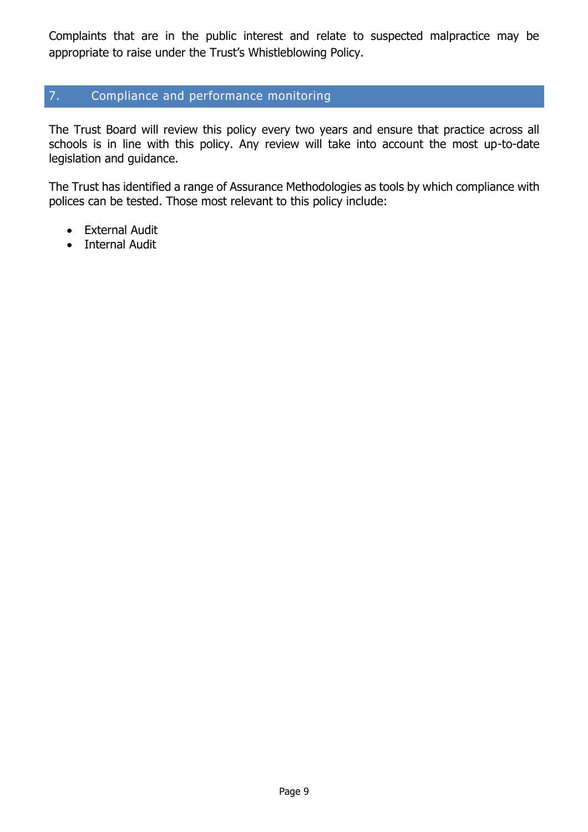Complaints that are in the public interest and relate to suspected malpractice may be appropriate to raise under the Trust's Whistleblowing Policy.

#### 7. Compliance and performance monitoring

The Trust Board will review this policy every two years and ensure that practice across all schools is in line with this policy. Any review will take into account the most up-to-date legislation and guidance.

The Trust has identified a range of Assurance Methodologies as tools by which compliance with polices can be tested. Those most relevant to this policy include:

- External Audit
- Internal Audit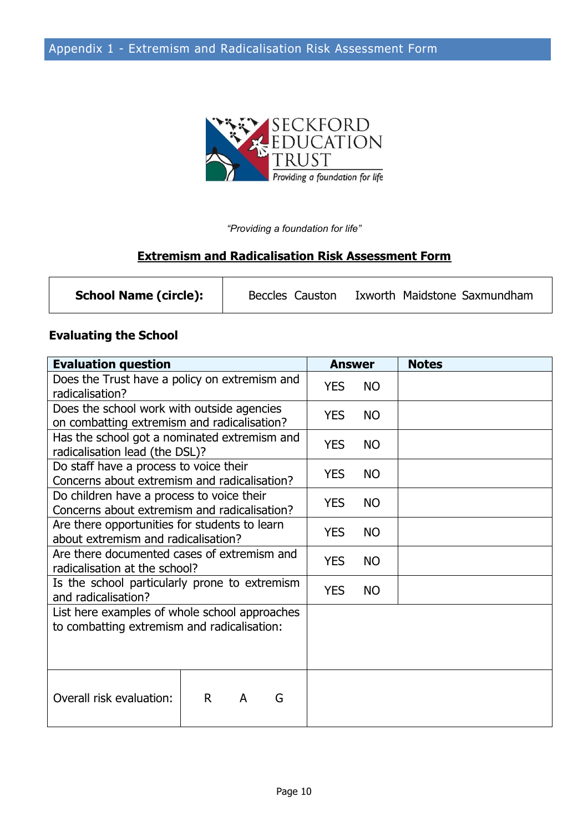

*"Providing a foundation for life"*

## **Extremism and Radicalisation Risk Assessment Form**

| <b>School Name (circle):</b> | Beccles Causton | Ixworth Maidstone Saxmundham |  |
|------------------------------|-----------------|------------------------------|--|
|                              |                 |                              |  |

#### **Evaluating the School**

| <b>Evaluation question</b>                                                                   |   | <b>Answer</b> |           | <b>Notes</b> |
|----------------------------------------------------------------------------------------------|---|---------------|-----------|--------------|
| Does the Trust have a policy on extremism and<br>radicalisation?                             |   | <b>YES</b>    | <b>NO</b> |              |
| Does the school work with outside agencies<br>on combatting extremism and radicalisation?    |   | <b>YES</b>    | <b>NO</b> |              |
| Has the school got a nominated extremism and<br>radicalisation lead (the DSL)?               |   | <b>YES</b>    | <b>NO</b> |              |
| Do staff have a process to voice their<br>Concerns about extremism and radicalisation?       |   | <b>YES</b>    | <b>NO</b> |              |
| Do children have a process to voice their<br>Concerns about extremism and radicalisation?    |   | <b>YES</b>    | <b>NO</b> |              |
| Are there opportunities for students to learn<br>about extremism and radicalisation?         |   | <b>YES</b>    | <b>NO</b> |              |
| Are there documented cases of extremism and<br>radicalisation at the school?                 |   | <b>YES</b>    | <b>NO</b> |              |
| Is the school particularly prone to extremism<br>and radicalisation?                         |   | <b>YES</b>    | <b>NO</b> |              |
| List here examples of whole school approaches<br>to combatting extremism and radicalisation: |   |               |           |              |
| Overall risk evaluation:<br>$\mathsf{R}$<br>A                                                | G |               |           |              |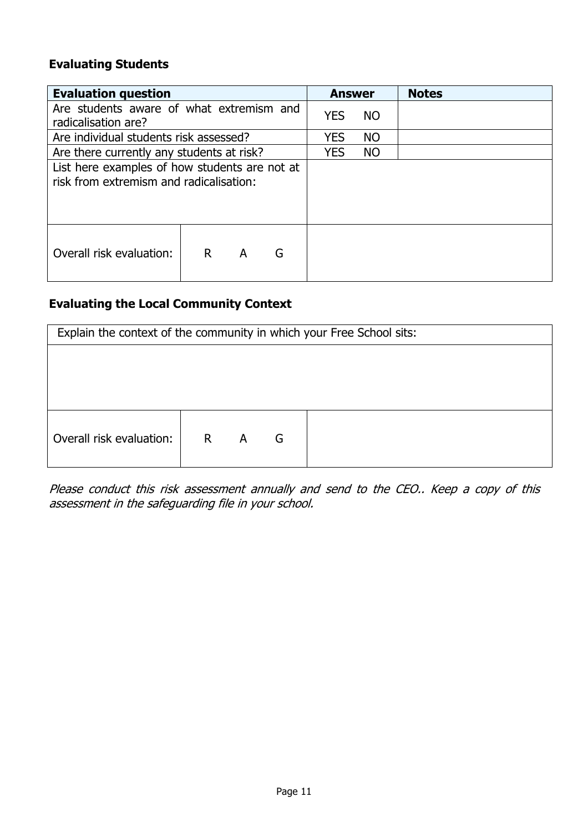#### **Evaluating Students**

| <b>Evaluation question</b>                                                               |    |   | <b>Answer</b> |            | <b>Notes</b> |  |
|------------------------------------------------------------------------------------------|----|---|---------------|------------|--------------|--|
| Are students aware of what extremism and<br>radicalisation are?                          |    |   | <b>YES</b>    | <b>NO</b>  |              |  |
| Are individual students risk assessed?                                                   |    |   |               | <b>YES</b> | <b>NO</b>    |  |
| Are there currently any students at risk?                                                |    |   |               | <b>YES</b> | <b>NO</b>    |  |
| List here examples of how students are not at<br>risk from extremism and radicalisation: |    |   |               |            |              |  |
| Overall risk evaluation:                                                                 | R. | A | G             |            |              |  |

## **Evaluating the Local Community Context**

| Explain the context of the community in which your Free School sits: |         |  |   |  |  |  |  |
|----------------------------------------------------------------------|---------|--|---|--|--|--|--|
|                                                                      |         |  |   |  |  |  |  |
|                                                                      |         |  |   |  |  |  |  |
|                                                                      |         |  |   |  |  |  |  |
| Overall risk evaluation:                                             | $R$ $A$ |  | G |  |  |  |  |

Please conduct this risk assessment annually and send to the CEO.. Keep a copy of this assessment in the safeguarding file in your school.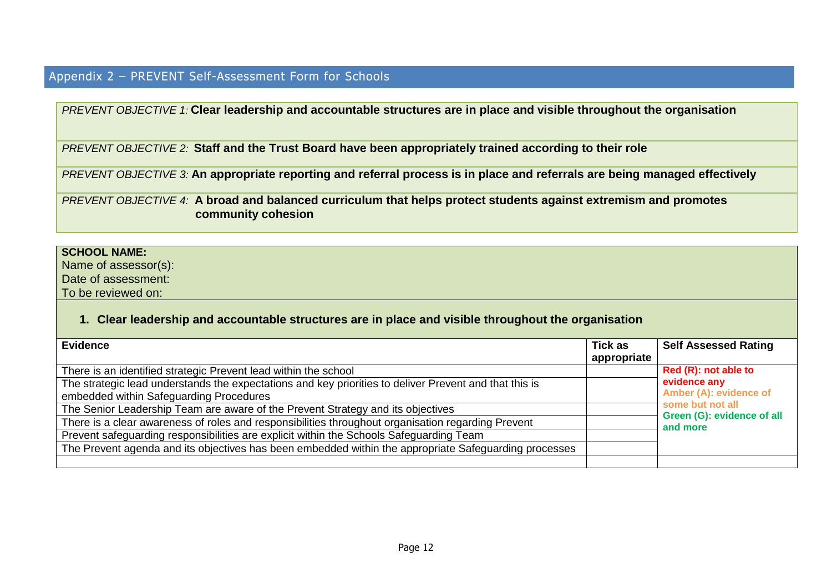## Appendix 2 – PREVENT Self-Assessment Form for Schools

*PREVENT OBJECTIVE 1:* **Clear leadership and accountable structures are in place and visible throughout the organisation**

*PREVENT OBJECTIVE 2:* **Staff and the Trust Board have been appropriately trained according to their role**

*PREVENT OBJECTIVE 3:* **An appropriate reporting and referral process is in place and referrals are being managed effectively**

*PREVENT OBJECTIVE 4:* **A broad and balanced curriculum that helps protect students against extremism and promotes community cohesion** 

#### **SCHOOL NAME:**

Name of assessor(s): Date of assessment:

To be reviewed on:

#### **1. Clear leadership and accountable structures are in place and visible throughout the organisation**

| <b>Evidence</b>                                                                                        | <b>Tick as</b> | <b>Self Assessed Rating</b>                                              |
|--------------------------------------------------------------------------------------------------------|----------------|--------------------------------------------------------------------------|
|                                                                                                        | appropriate    |                                                                          |
| There is an identified strategic Prevent lead within the school                                        |                | Red (R): not able to                                                     |
| The strategic lead understands the expectations and key priorities to deliver Prevent and that this is |                | evidence any                                                             |
| embedded within Safeguarding Procedures                                                                |                | Amber (A): evidence of<br>some but not all<br>Green (G): evidence of all |
| The Senior Leadership Team are aware of the Prevent Strategy and its objectives                        |                |                                                                          |
| There is a clear awareness of roles and responsibilities throughout organisation regarding Prevent     |                | and more                                                                 |
| Prevent safeguarding responsibilities are explicit within the Schools Safeguarding Team                |                |                                                                          |
| The Prevent agenda and its objectives has been embedded within the appropriate Safeguarding processes  |                |                                                                          |
|                                                                                                        |                |                                                                          |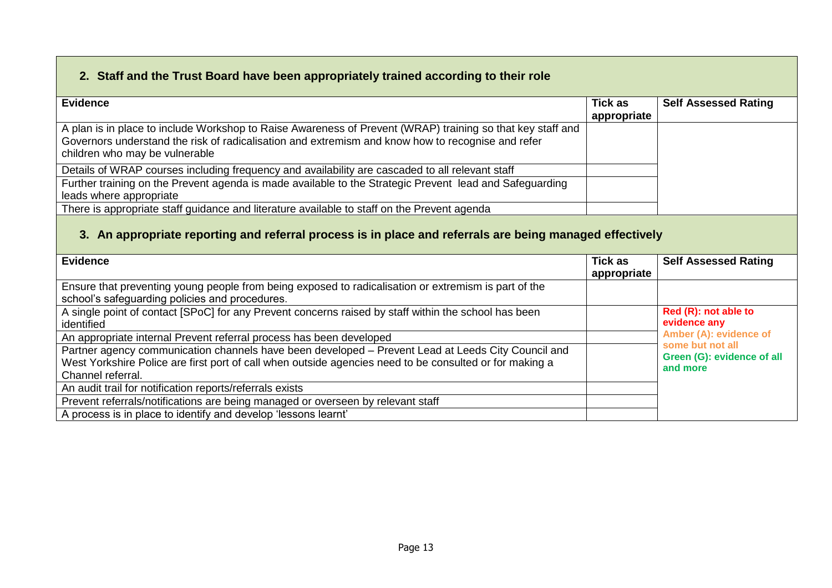## **2. Staff and the Trust Board have been appropriately trained according to their role**

| <b>Evidence</b>                                                                                            | <b>Tick as</b> | <b>Self Assessed Rating</b> |
|------------------------------------------------------------------------------------------------------------|----------------|-----------------------------|
|                                                                                                            | appropriate    |                             |
| A plan is in place to include Workshop to Raise Awareness of Prevent (WRAP) training so that key staff and |                |                             |
| Governors understand the risk of radicalisation and extremism and know how to recognise and refer          |                |                             |
| children who may be vulnerable                                                                             |                |                             |
| Details of WRAP courses including frequency and availability are cascaded to all relevant staff            |                |                             |
| Further training on the Prevent agenda is made available to the Strategic Prevent lead and Safeguarding    |                |                             |
| leads where appropriate                                                                                    |                |                             |
| There is appropriate staff guidance and literature available to staff on the Prevent agenda                |                |                             |

## **3. An appropriate reporting and referral process is in place and referrals are being managed effectively**

| <b>Evidence</b>                                                                                                                                                                                                                    | <b>Tick as</b><br>appropriate | <b>Self Assessed Rating</b>                                |
|------------------------------------------------------------------------------------------------------------------------------------------------------------------------------------------------------------------------------------|-------------------------------|------------------------------------------------------------|
| Ensure that preventing young people from being exposed to radicalisation or extremism is part of the<br>school's safeguarding policies and procedures.                                                                             |                               |                                                            |
| A single point of contact [SPoC] for any Prevent concerns raised by staff within the school has been<br>identified                                                                                                                 |                               | Red (R): not able to<br>evidence any                       |
| An appropriate internal Prevent referral process has been developed                                                                                                                                                                |                               | Amber (A): evidence of                                     |
| Partner agency communication channels have been developed - Prevent Lead at Leeds City Council and<br>West Yorkshire Police are first port of call when outside agencies need to be consulted or for making a<br>Channel referral. |                               | some but not all<br>Green (G): evidence of all<br>and more |
| An audit trail for notification reports/referrals exists                                                                                                                                                                           |                               |                                                            |
| Prevent referrals/notifications are being managed or overseen by relevant staff                                                                                                                                                    |                               |                                                            |
| A process is in place to identify and develop 'lessons learnt'                                                                                                                                                                     |                               |                                                            |